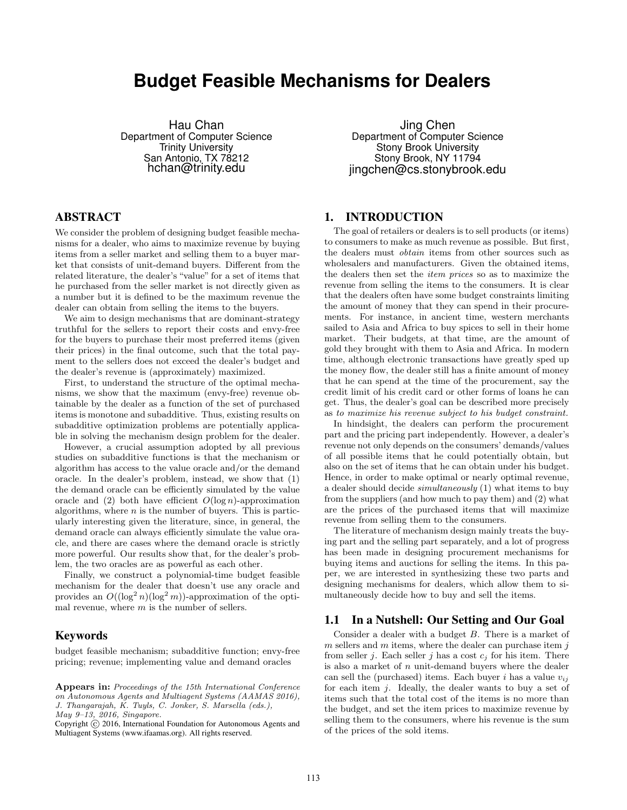# **Budget Feasible Mechanisms for Dealers**

Hau Chan Department of Computer Science Trinity University San Antonio, TX 78212 hchan@trinity.edu

## ABSTRACT

We consider the problem of designing budget feasible mechanisms for a dealer, who aims to maximize revenue by buying items from a seller market and selling them to a buyer market that consists of unit-demand buyers. Different from the related literature, the dealer's "value" for a set of items that he purchased from the seller market is not directly given as a number but it is defined to be the maximum revenue the dealer can obtain from selling the items to the buyers.

We aim to design mechanisms that are dominant-strategy truthful for the sellers to report their costs and envy-free for the buyers to purchase their most preferred items (given their prices) in the final outcome, such that the total payment to the sellers does not exceed the dealer's budget and the dealer's revenue is (approximately) maximized.

First, to understand the structure of the optimal mechanisms, we show that the maximum (envy-free) revenue obtainable by the dealer as a function of the set of purchased items is monotone and subadditive. Thus, existing results on subadditive optimization problems are potentially applicable in solving the mechanism design problem for the dealer.

However, a crucial assumption adopted by all previous studies on subadditive functions is that the mechanism or algorithm has access to the value oracle and/or the demand oracle. In the dealer's problem, instead, we show that (1) the demand oracle can be efficiently simulated by the value oracle and (2) both have efficient  $O(\log n)$ -approximation algorithms, where  $n$  is the number of buyers. This is particularly interesting given the literature, since, in general, the demand oracle can always efficiently simulate the value oracle, and there are cases where the demand oracle is strictly more powerful. Our results show that, for the dealer's problem, the two oracles are as powerful as each other.

Finally, we construct a polynomial-time budget feasible mechanism for the dealer that doesn't use any oracle and provides an  $O((\log^2 n)(\log^2 m))$ -approximation of the optimal revenue, where  $m$  is the number of sellers.

## Keywords

budget feasible mechanism; subadditive function; envy-free pricing; revenue; implementing value and demand oracles

Copyright (C) 2016, International Foundation for Autonomous Agents and Multiagent Systems (www.ifaamas.org). All rights reserved.

Jing Chen Department of Computer Science Stony Brook University Stony Brook, NY 11794 jingchen@cs.stonybrook.edu

## 1. INTRODUCTION

The goal of retailers or dealers is to sell products (or items) to consumers to make as much revenue as possible. But first, the dealers must obtain items from other sources such as wholesalers and manufacturers. Given the obtained items, the dealers then set the item prices so as to maximize the revenue from selling the items to the consumers. It is clear that the dealers often have some budget constraints limiting the amount of money that they can spend in their procurements. For instance, in ancient time, western merchants sailed to Asia and Africa to buy spices to sell in their home market. Their budgets, at that time, are the amount of gold they brought with them to Asia and Africa. In modern time, although electronic transactions have greatly sped up the money flow, the dealer still has a finite amount of money that he can spend at the time of the procurement, say the credit limit of his credit card or other forms of loans he can get. Thus, the dealer's goal can be described more precisely as to maximize his revenue subject to his budget constraint.

In hindsight, the dealers can perform the procurement part and the pricing part independently. However, a dealer's revenue not only depends on the consumers' demands/values of all possible items that he could potentially obtain, but also on the set of items that he can obtain under his budget. Hence, in order to make optimal or nearly optimal revenue, a dealer should decide simultaneously (1) what items to buy from the suppliers (and how much to pay them) and (2) what are the prices of the purchased items that will maximize revenue from selling them to the consumers.

The literature of mechanism design mainly treats the buying part and the selling part separately, and a lot of progress has been made in designing procurement mechanisms for buying items and auctions for selling the items. In this paper, we are interested in synthesizing these two parts and designing mechanisms for dealers, which allow them to simultaneously decide how to buy and sell the items.

#### 1.1 In a Nutshell: Our Setting and Our Goal

Consider a dealer with a budget B. There is a market of  $m$  sellers and  $m$  items, where the dealer can purchase item  $j$ from seller *j*. Each seller *j* has a cost  $c_j$  for his item. There is also a market of  $n$  unit-demand buyers where the dealer can sell the (purchased) items. Each buyer i has a value  $v_{ij}$ for each item j. Ideally, the dealer wants to buy a set of items such that the total cost of the items is no more than the budget, and set the item prices to maximize revenue by selling them to the consumers, where his revenue is the sum of the prices of the sold items.

Appears in: Proceedings of the 15th International Conference on Autonomous Agents and Multiagent Systems (AAMAS 2016), J. Thangarajah, K. Tuyls, C. Jonker, S. Marsella (eds.), May 9–13, 2016, Singapore.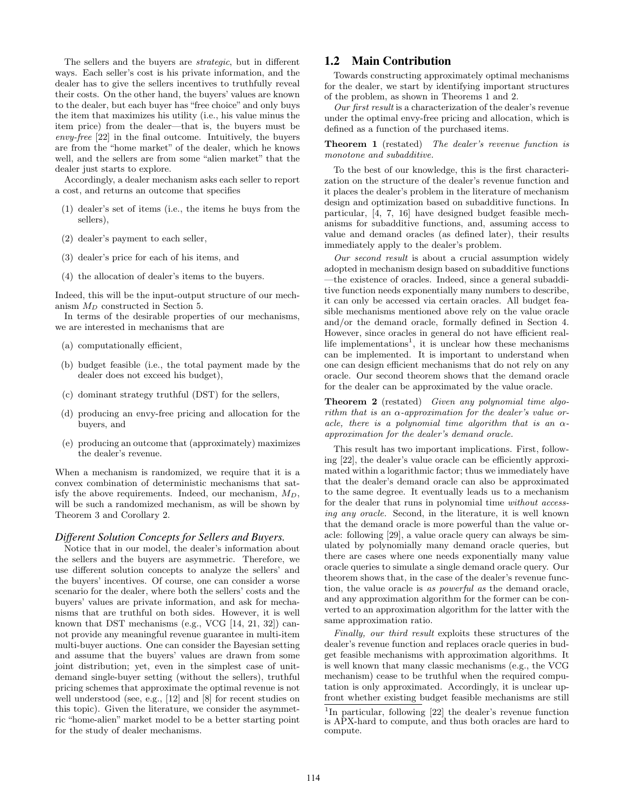The sellers and the buyers are strategic, but in different ways. Each seller's cost is his private information, and the dealer has to give the sellers incentives to truthfully reveal their costs. On the other hand, the buyers' values are known to the dealer, but each buyer has "free choice" and only buys the item that maximizes his utility (i.e., his value minus the item price) from the dealer—that is, the buyers must be envy-free [22] in the final outcome. Intuitively, the buyers are from the "home market" of the dealer, which he knows well, and the sellers are from some "alien market" that the dealer just starts to explore.

Accordingly, a dealer mechanism asks each seller to report a cost, and returns an outcome that specifies

- (1) dealer's set of items (i.e., the items he buys from the sellers),
- (2) dealer's payment to each seller,
- (3) dealer's price for each of his items, and
- (4) the allocation of dealer's items to the buyers.

Indeed, this will be the input-output structure of our mechanism  $M_D$  constructed in Section 5.

In terms of the desirable properties of our mechanisms, we are interested in mechanisms that are

- (a) computationally efficient,
- (b) budget feasible (i.e., the total payment made by the dealer does not exceed his budget),
- (c) dominant strategy truthful (DST) for the sellers,
- (d) producing an envy-free pricing and allocation for the buyers, and
- (e) producing an outcome that (approximately) maximizes the dealer's revenue.

When a mechanism is randomized, we require that it is a convex combination of deterministic mechanisms that satisfy the above requirements. Indeed, our mechanism,  $M_D$ , will be such a randomized mechanism, as will be shown by Theorem 3 and Corollary 2.

#### *Different Solution Concepts for Sellers and Buyers.*

Notice that in our model, the dealer's information about the sellers and the buyers are asymmetric. Therefore, we use different solution concepts to analyze the sellers' and the buyers' incentives. Of course, one can consider a worse scenario for the dealer, where both the sellers' costs and the buyers' values are private information, and ask for mechanisms that are truthful on both sides. However, it is well known that DST mechanisms (e.g., VCG [14, 21, 32]) cannot provide any meaningful revenue guarantee in multi-item multi-buyer auctions. One can consider the Bayesian setting and assume that the buyers' values are drawn from some joint distribution; yet, even in the simplest case of unitdemand single-buyer setting (without the sellers), truthful pricing schemes that approximate the optimal revenue is not well understood (see, e.g., [12] and [8] for recent studies on this topic). Given the literature, we consider the asymmetric "home-alien" market model to be a better starting point for the study of dealer mechanisms.

### 1.2 Main Contribution

Towards constructing approximately optimal mechanisms for the dealer, we start by identifying important structures of the problem, as shown in Theorems 1 and 2.

Our first result is a characterization of the dealer's revenue under the optimal envy-free pricing and allocation, which is defined as a function of the purchased items.

Theorem 1 (restated) The dealer's revenue function is monotone and subadditive.

To the best of our knowledge, this is the first characterization on the structure of the dealer's revenue function and it places the dealer's problem in the literature of mechanism design and optimization based on subadditive functions. In particular, [4, 7, 16] have designed budget feasible mechanisms for subadditive functions, and, assuming access to value and demand oracles (as defined later), their results immediately apply to the dealer's problem.

Our second result is about a crucial assumption widely adopted in mechanism design based on subadditive functions —the existence of oracles. Indeed, since a general subadditive function needs exponentially many numbers to describe, it can only be accessed via certain oracles. All budget feasible mechanisms mentioned above rely on the value oracle and/or the demand oracle, formally defined in Section 4. However, since oracles in general do not have efficient reallife implementations<sup>1</sup>, it is unclear how these mechanisms can be implemented. It is important to understand when one can design efficient mechanisms that do not rely on any oracle. Our second theorem shows that the demand oracle for the dealer can be approximated by the value oracle.

Theorem 2 (restated) Given any polynomial time algorithm that is an  $\alpha$ -approximation for the dealer's value oracle, there is a polynomial time algorithm that is an  $\alpha$ approximation for the dealer's demand oracle.

This result has two important implications. First, following [22], the dealer's value oracle can be efficiently approximated within a logarithmic factor; thus we immediately have that the dealer's demand oracle can also be approximated to the same degree. It eventually leads us to a mechanism for the dealer that runs in polynomial time without accessing any oracle. Second, in the literature, it is well known that the demand oracle is more powerful than the value oracle: following [29], a value oracle query can always be simulated by polynomially many demand oracle queries, but there are cases where one needs exponentially many value oracle queries to simulate a single demand oracle query. Our theorem shows that, in the case of the dealer's revenue function, the value oracle is as powerful as the demand oracle, and any approximation algorithm for the former can be converted to an approximation algorithm for the latter with the same approximation ratio.

Finally, our third result exploits these structures of the dealer's revenue function and replaces oracle queries in budget feasible mechanisms with approximation algorithms. It is well known that many classic mechanisms (e.g., the VCG mechanism) cease to be truthful when the required computation is only approximated. Accordingly, it is unclear upfront whether existing budget feasible mechanisms are still

<sup>&</sup>lt;sup>1</sup>In particular, following [22] the dealer's revenue function is APX-hard to compute, and thus both oracles are hard to compute.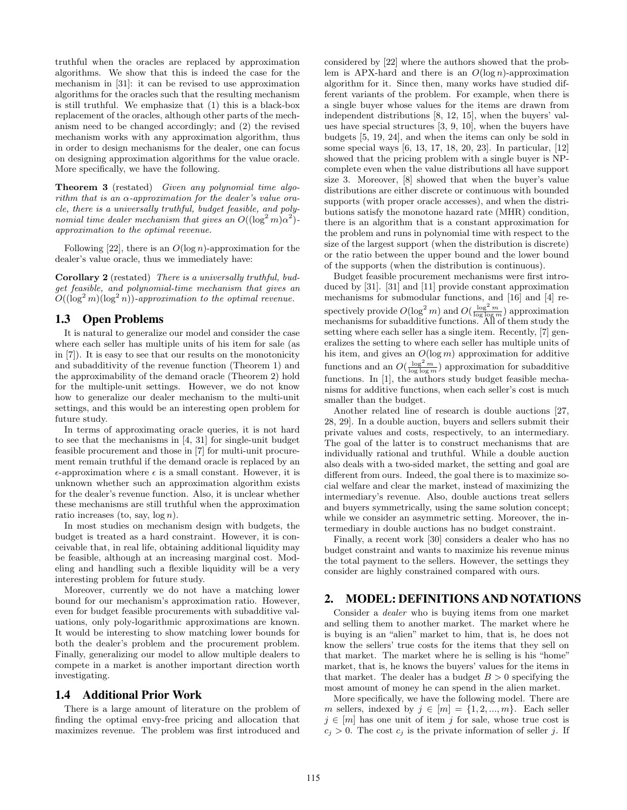truthful when the oracles are replaced by approximation algorithms. We show that this is indeed the case for the mechanism in [31]: it can be revised to use approximation algorithms for the oracles such that the resulting mechanism is still truthful. We emphasize that (1) this is a black-box replacement of the oracles, although other parts of the mechanism need to be changed accordingly; and (2) the revised mechanism works with any approximation algorithm, thus in order to design mechanisms for the dealer, one can focus on designing approximation algorithms for the value oracle. More specifically, we have the following.

Theorem 3 (restated) Given any polynomial time algorithm that is an  $\alpha$ -approximation for the dealer's value oracle, there is a universally truthful, budget feasible, and polynomial time dealer mechanism that gives an  $O((\log^2 m)\alpha^2)$ approximation to the optimal revenue.

Following [22], there is an  $O(\log n)$ -approximation for the dealer's value oracle, thus we immediately have:

Corollary 2 (restated) There is a universally truthful, budget feasible, and polynomial-time mechanism that gives an  $O((\log^2 m)(\log^2 n))$ -approximation to the optimal revenue.

## 1.3 Open Problems

It is natural to generalize our model and consider the case where each seller has multiple units of his item for sale (as in [7]). It is easy to see that our results on the monotonicity and subadditivity of the revenue function (Theorem 1) and the approximability of the demand oracle (Theorem 2) hold for the multiple-unit settings. However, we do not know how to generalize our dealer mechanism to the multi-unit settings, and this would be an interesting open problem for future study.

In terms of approximating oracle queries, it is not hard to see that the mechanisms in [4, 31] for single-unit budget feasible procurement and those in [7] for multi-unit procurement remain truthful if the demand oracle is replaced by an  $\epsilon$ -approximation where  $\epsilon$  is a small constant. However, it is unknown whether such an approximation algorithm exists for the dealer's revenue function. Also, it is unclear whether these mechanisms are still truthful when the approximation ratio increases (to, say,  $log n$ ).

In most studies on mechanism design with budgets, the budget is treated as a hard constraint. However, it is conceivable that, in real life, obtaining additional liquidity may be feasible, although at an increasing marginal cost. Modeling and handling such a flexible liquidity will be a very interesting problem for future study.

Moreover, currently we do not have a matching lower bound for our mechanism's approximation ratio. However, even for budget feasible procurements with subadditive valuations, only poly-logarithmic approximations are known. It would be interesting to show matching lower bounds for both the dealer's problem and the procurement problem. Finally, generalizing our model to allow multiple dealers to compete in a market is another important direction worth investigating.

#### 1.4 Additional Prior Work

There is a large amount of literature on the problem of finding the optimal envy-free pricing and allocation that maximizes revenue. The problem was first introduced and

considered by [22] where the authors showed that the problem is APX-hard and there is an  $O(\log n)$ -approximation algorithm for it. Since then, many works have studied different variants of the problem. For example, when there is a single buyer whose values for the items are drawn from independent distributions [8, 12, 15], when the buyers' values have special structures [3, 9, 10], when the buyers have budgets [5, 19, 24], and when the items can only be sold in some special ways [6, 13, 17, 18, 20, 23]. In particular, [12] showed that the pricing problem with a single buyer is NPcomplete even when the value distributions all have support size 3. Moreover, [8] showed that when the buyer's value distributions are either discrete or continuous with bounded supports (with proper oracle accesses), and when the distributions satisfy the monotone hazard rate (MHR) condition, there is an algorithm that is a constant approximation for the problem and runs in polynomial time with respect to the size of the largest support (when the distribution is discrete) or the ratio between the upper bound and the lower bound of the supports (when the distribution is continuous).

Budget feasible procurement mechanisms were first introduced by [31]. [31] and [11] provide constant approximation mechanisms for submodular functions, and [16] and [4] respectively provide  $O(\log^2 m)$  and  $O(\frac{\log^2 m}{\log \log m})$  approximation mechanisms for subadditive functions. All of them study the setting where each seller has a single item. Recently, [7] generalizes the setting to where each seller has multiple units of his item, and gives an  $O(\log m)$  approximation for additive functions and an  $O(\frac{\log^2 m}{\log \log m})$  approximation for subadditive functions. In [1], the authors study budget feasible mechanisms for additive functions, when each seller's cost is much smaller than the budget.

Another related line of research is double auctions [27, 28, 29]. In a double auction, buyers and sellers submit their private values and costs, respectively, to an intermediary. The goal of the latter is to construct mechanisms that are individually rational and truthful. While a double auction also deals with a two-sided market, the setting and goal are different from ours. Indeed, the goal there is to maximize social welfare and clear the market, instead of maximizing the intermediary's revenue. Also, double auctions treat sellers and buyers symmetrically, using the same solution concept; while we consider an asymmetric setting. Moreover, the intermediary in double auctions has no budget constraint.

Finally, a recent work [30] considers a dealer who has no budget constraint and wants to maximize his revenue minus the total payment to the sellers. However, the settings they consider are highly constrained compared with ours.

#### 2. MODEL: DEFINITIONS AND NOTATIONS

Consider a dealer who is buying items from one market and selling them to another market. The market where he is buying is an "alien" market to him, that is, he does not know the sellers' true costs for the items that they sell on that market. The market where he is selling is his "home" market, that is, he knows the buyers' values for the items in that market. The dealer has a budget  $B > 0$  specifying the most amount of money he can spend in the alien market.

More specifically, we have the following model. There are m sellers, indexed by  $j \in [m] = \{1, 2, ..., m\}$ . Each seller  $j \in [m]$  has one unit of item j for sale, whose true cost is  $c_j > 0$ . The cost  $c_j$  is the private information of seller j. If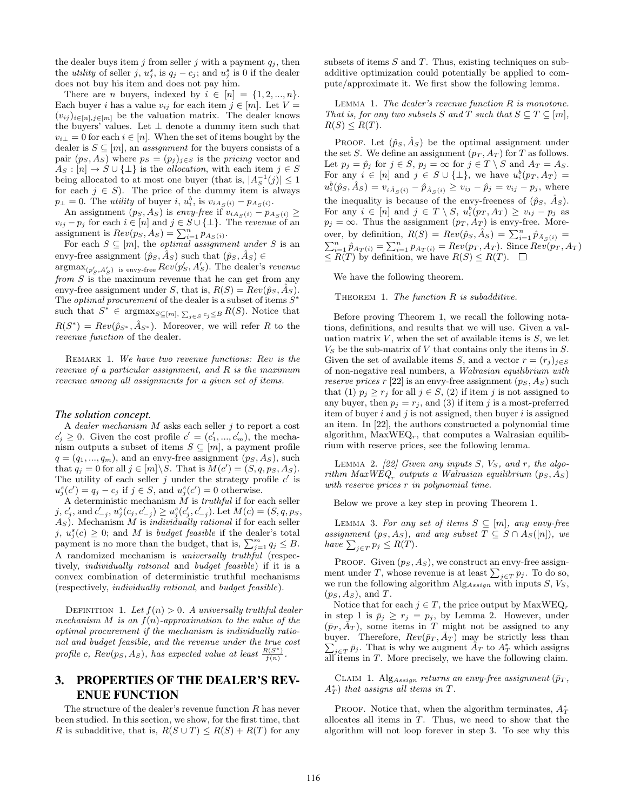the dealer buys item j from seller j with a payment  $q_i$ , then the *utility* of seller j,  $u_j^s$ , is  $q_j - c_j$ ; and  $u_j^s$  is 0 if the dealer does not buy his item and does not pay him.

There are *n* buyers, indexed by  $i \in [n] = \{1, 2, ..., n\}.$ Each buyer *i* has a value  $v_{ij}$  for each item  $j \in [m]$ . Let  $V =$  $(v_{ij})_{i\in[n],j\in[m]}$  be the valuation matrix. The dealer knows the buyers' values. Let  $\perp$  denote a dummy item such that  $v_{i\perp} = 0$  for each  $i \in [n]$ . When the set of items bought by the dealer is  $S \subseteq [m]$ , an *assignment* for the buyers consists of a pair  $(p_S, A_S)$  where  $p_S = (p_j)_{j \in S}$  is the *pricing* vector and  $A_S : [n] \to S \cup \{\perp\}$  is the *allocation*, with each item  $j \in S$ being allocated to at most one buyer (that is,  $|A_S^{-1}(j)| \leq 1$ for each  $j \in S$ ). The price of the dummy item is always  $p_{\perp} = 0$ . The *utility* of buyer *i*,  $u_i^b$ , is  $v_{iA_S(i)} - p_{A_S(i)}$ .

An assignment  $(p_S, A_S)$  is envy-free if  $v_{iA_S(i)} - p_{A_S(i)} \geq$  $v_{ij} - p_j$  for each  $i \in [n]$  and  $j \in S \cup \{\perp\}$ . The revenue of an assignment is  $Rev(p_S, A_S) = \sum_{i=1}^{n} p_{A_S(i)}$ .

For each  $S \subseteq [m]$ , the *optimal assignment under* S is an envy-free assignment  $(\hat{p}_S, A_S)$  such that  $(\hat{p}_S, A_S) \in$ 

 $\argmax_{(p'_S, A'_S)}$  is envy-free  $Rev(p'_S, A'_S)$ . The dealer's revenue from  $S$  is the maximum revenue that he can get from any envy-free assignment under S, that is,  $R(S) = Rev(\hat{p}_S, A_S)$ . The *optimal procurement* of the dealer is a subset of items  $S^*$ such that  $S^* \in \text{argmax}_{S \subseteq [m], \sum_{j \in S} c_j \leq B} R(S)$ . Notice that  $R(S^*) = Rev(\hat{p}_{S^*}, \hat{A}_{S^*})$ . Moreover, we will refer R to the revenue function of the dealer.

REMARK 1. We have two revenue functions: Rev is the revenue of a particular assignment, and R is the maximum revenue among all assignments for a given set of items.

#### *The solution concept.*

A dealer mechanism  $M$  asks each seller  $j$  to report a cost  $c'_j \geq 0$ . Given the cost profile  $c' = (c'_1, ..., c'_m)$ , the mechanism outputs a subset of items  $S \subseteq [m]$ , a payment profile  $q = (q_1, ..., q_m)$ , and an envy-free assignment  $(p_S, A_S)$ , such that  $q_j = 0$  for all  $j \in [m] \backslash S$ . That is  $M(c') = (S, q, p_S, A_S)$ . The utility of each seller  $j$  under the strategy profile  $c'$  is  $u_j^s(c') = q_j - c_j$  if  $j \in S$ , and  $u_j^s(c') = 0$  otherwise.

A deterministic mechanism  $M$  is  $truthful$  if for each seller j,  $c'_{j}$ , and  $c'_{-j}$ ,  $u_{j}^{s}(c_{j}, c'_{-j}) \geq u_{j}^{s}(c'_{j}, c'_{-j})$ . Let  $M(c) = (S, q, ps,$  $A<sub>S</sub>$ ). Mechanism M is *individually rational* if for each seller j,  $u_j^s(c) \geq 0$ ; and M is budget feasible if the dealer's total payment is no more than the budget, that is,  $\sum_{j=1}^{m} q_j \leq B$ . A randomized mechanism is *universally truthful* (respectively, individually rational and budget feasible) if it is a convex combination of deterministic truthful mechanisms (respectively, individually rational, and budget feasible).

DEFINITION 1. Let  $f(n) > 0$ . A universally truthful dealer mechanism M is an  $f(n)$ -approximation to the value of the optimal procurement if the mechanism is individually rational and budget feasible, and the revenue under the true cost profile c,  $Rev(p_S, A_S)$ , has expected value at least  $\frac{R(S^*)}{f(n)}$ .

# 3. PROPERTIES OF THE DEALER'S REV-ENUE FUNCTION

The structure of the dealer's revenue function  $R$  has never been studied. In this section, we show, for the first time, that R is subadditive, that is,  $R(S \cup T) \leq R(S) + R(T)$  for any subsets of items  $S$  and  $T$ . Thus, existing techniques on subadditive optimization could potentially be applied to compute/approximate it. We first show the following lemma.

LEMMA 1. The dealer's revenue function  $R$  is monotone. That is, for any two subsets S and T such that  $S \subset T \subset [m]$ ,  $R(S) \leq R(T)$ .

PROOF. Let  $(\hat{p}_S, \hat{A}_S)$  be the optimal assignment under the set S. We define an assignment  $(p_T, A_T)$  for T as follows. Let  $p_j = \hat{p}_j$  for  $j \in S$ ,  $p_j = \infty$  for  $j \in T \setminus S$  and  $A_T = A_S$ . For any  $i \in [n]$  and  $j \in S \cup \{\perp\}$ , we have  $u_i^b(p_T, A_T) =$  $u_i^b(\hat{p}_S, \hat{A}_S) = v_{i\hat{A}_S(i)} - \hat{p}_{\hat{A}_S(i)} \ge v_{ij} - \hat{p}_j = v_{ij} - p_j$ , where the inequality is because of the envy-freeness of  $(\hat{p}_S, \hat{A}_S)$ . For any  $i \in [n]$  and  $j \in T \setminus S$ ,  $u_i^b(p_T, A_T) \ge v_{ij} - p_j$  as  $p_j = \infty$ . Thus the assignment  $(p_T, A_T)$  is envy-free. Moreover, by definition,  $R(S) = Rev(\hat{p}_S, \hat{A}_S) = \sum_{i=1}^n \hat{p}_{\hat{A}_S(i)}$ over, by definition,  $R(S) = Rev(\hat{p}_S, A_S) = \sum_{i=1}^n \hat{p}_{\hat{A}_S(i)} = \sum_{i=1}^n \hat{p}_{A_T(i)} = \sum_{i=1}^n p_{A_T(i)} = Rev(p_T, A_T)$ . Since  $Rev(p_T, A_T)$  $\leq R(T)$  by definition, we have  $R(S) \leq R(T)$ .

We have the following theorem.

THEOREM 1. The function  $R$  is subadditive.

Before proving Theorem 1, we recall the following notations, definitions, and results that we will use. Given a valuation matrix  $V$ , when the set of available items is  $S$ , we let  $V_S$  be the sub-matrix of  $V$  that contains only the items in  $S$ . Given the set of available items S, and a vector  $r = (r_j)_{j \in S}$ of non-negative real numbers, a Walrasian equilibrium with reserve prices r [22] is an envy-free assignment  $(p_S, A_S)$  such that (1)  $p_j \geq r_j$  for all  $j \in S$ , (2) if item j is not assigned to any buyer, then  $p_i = r_i$ , and (3) if item j is a most-preferred item of buyer  $i$  and  $j$  is not assigned, then buyer  $i$  is assigned an item. In [22], the authors constructed a polynomial time algorithm,  $MaxWEQ<sub>r</sub>$ , that computes a Walrasian equilibrium with reserve prices, see the following lemma.

LEMMA 2. [22] Given any inputs  $S$ ,  $V_S$ , and r, the algorithm  $MaxWEQ_r$  outputs a Walrasian equilibrium  $(p_S, As)$ with reserve prices r in polynomial time.

Below we prove a key step in proving Theorem 1.

LEMMA 3. For any set of items  $S \subseteq [m]$ , any envy-free assignment  $(p_S, A_S)$ , and any subset  $T \subseteq S \cap A_S([n])$ , we have  $\sum_{j \in T} p_j \leq R(T)$ .

PROOF. Given  $(p_S, A_S)$ , we construct an envy-free assignment under T, whose revenue is at least  $\sum_{j\in T} p_j$ . To do so, we run the following algorithm  $\text{Alg}_{Assign}$  with inputs  $S, V_S$ ,  $(p_S, A_S)$ , and T.

Notice that for each  $j \in T$ , the price output by  $MaxWEQ_r$ in step 1 is  $\bar{p}_j \ge r_j = p_j$ , by Lemma 2. However, under  $(\bar{p}_T, \bar{A}_T)$ , some items in T might not be assigned to any buyer. Therefore,  $Rev(\bar{p}_T, \bar{A}_T)$  may be strictly less than  $\sum_{i \in T} \bar{p}_i$ . That is why we augment  $\bar{A}_T$  to  $A_T^*$  which assigns  $\bar{p}_j \in T \bar{p}_j$ . That is why we augment  $\bar{A}_T$  to  $A_T^*$  which assigns all items in  $T$ . More precisely, we have the following claim.

CLAIM 1. Alg<sub>Assign</sub> returns an envy-free assignment ( $\bar{p}_T$ ,  $A_T^*$ ) that assigns all items in T.

PROOF. Notice that, when the algorithm terminates,  $A_T^*$ allocates all items in T. Thus, we need to show that the algorithm will not loop forever in step 3. To see why this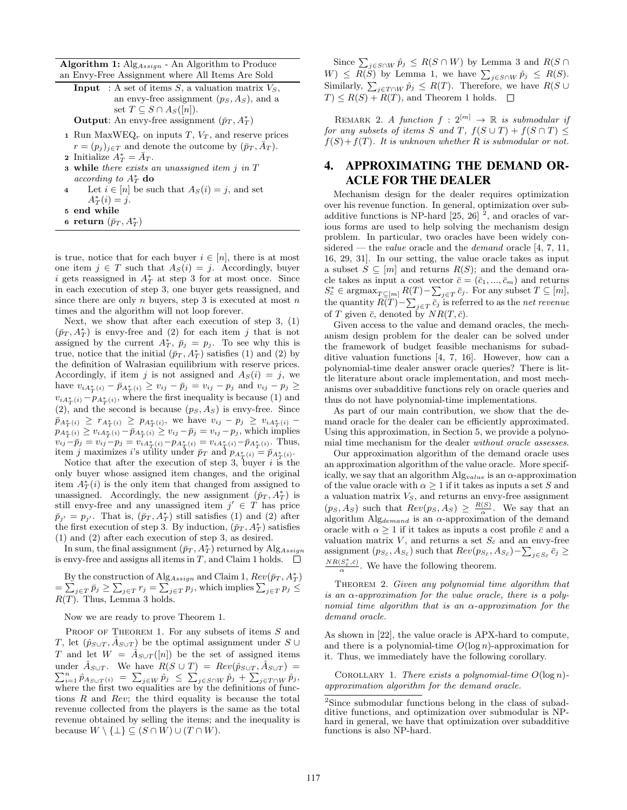**Algorithm 1:** Alg<sub>Assign</sub> - An Algorithm to Produce an Envy-Free Assignment where All Items Are Sold

**Input** : A set of items  $S$ , a valuation matrix  $V_S$ , an envy-free assignment  $(p_S, A_S)$ , and a set  $T \subseteq S \cap A_S([n]).$ 

Output: An envy-free assignment  $(\bar{p}_T, A_T^*)$ 

- 1 Run MaxWEQ<sub>r</sub> on inputs  $T$ ,  $V_T$ , and reserve prices  $r = (p_j)_{j \in T}$  and denote the outcome by  $(\bar{p}_T, \bar{A}_T)$ .
- **2** Initialize  $A_T^* = \bar{A}_T$ .
- $\bf{3}$  while there exists an unassigned item  $j$  in  $T$ according to  $A_T^*$  do
- 4 Let  $i \in [n]$  be such that  $A_S(i) = j$ , and set  $A_T^*(i) = j.$
- <sup>5</sup> end while
- 6 return  $(\bar{p}_T, A_T^*)$

is true, notice that for each buyer  $i \in [n]$ , there is at most one item  $j \in T$  such that  $A_S(i) = j$ . Accordingly, buyer i gets reassigned in  $A_T^*$  at step 3 for at most once. Since in each execution of step 3, one buyer gets reassigned, and since there are only  $n$  buyers, step 3 is executed at most  $n$ times and the algorithm will not loop forever.

Next, we show that after each execution of step 3, (1)  $(\bar{p}_T, A_T^*)$  is envy-free and (2) for each item j that is not assigned by the current  $A_T^*$ ,  $\bar{p}_j = p_j$ . To see why this is true, notice that the initial  $(\bar{p}_T, A_T^*)$  satisfies (1) and (2) by the definition of Walrasian equilibrium with reserve prices. Accordingly, if item j is not assigned and  $A_S(i) = j$ , we have  $v_{iA_T^*(i)} - \bar{p}_{A_T^*(i)} \ge v_{ij} - \bar{p}_j = v_{ij} - p_j$  and  $v_{ij} - p_j \ge$  $v_{iA_T^*(i)} - p_{A_T^*(i)}$ , where the first inequality is because (1) and  $(2)$ , and the second is because  $(p_S, A_S)$  is envy-free. Since  $\bar{p}_{A_T^*(i)} \ge r_{A_T^*(i)} \ge p_{A_T^*(i)}$ , we have  $v_{ij} - p_j \ge v_{iA_T^*(i)}$  $p_{A_T^*(i)} \ge v_{iA_T^*(i)} - \bar{p}_{A_T^*(i)} \ge v_{ij} - \bar{p}_j = v_{ij} - p_j$ , which implies  $v_{ij}-\bar{p}_j = v_{ij}-p_j = v_{iA_T^*(i)}-p_{A_T^*(i)} = v_{iA_T^*(i)}-\bar{p}_{A_T^*(i)}$ . Thus, item j maximizes i's utility under  $\bar{p}_T$  and  $p_{A_T^*(i)} = \bar{p}_{A_T^*(i)}$ .

Notice that after the execution of step 3, buyer  $i$  is the only buyer whose assigned item changes, and the original item  $A_T^*(i)$  is the only item that changed from assigned to unassigned. Accordingly, the new assignment  $(\bar{p}_T, A_T^*)$  is still envy-free and any unassigned item  $j' \in T$  has price  $\bar{p}_{j'} = p_{j'}$ . That is,  $(\bar{p}_T, A_T^*)$  still satisfies (1) and (2) after the first execution of step 3. By induction,  $(\bar{p}_T, A_T^*)$  satisfies (1) and (2) after each execution of step 3, as desired.

In sum, the final assignment  $(\bar{p}_T, A_T^*)$  returned by  $\text{Alg}_{Assign}$ is envy-free and assigns all items in T, and Claim 1 holds.  $\square$ 

By the construction of  $\text{Alg}_{Assign}$  and Claim 1,  $Rev(\bar{p}_T, A_T^*)$  $=\sum_{j\in T}\bar{p}_j\geq \sum_{j\in T}r_j=\sum_{j\in T}p_j$ , which implies  $\sum_{j\in T}p_j\leq$  $R(T)$ . Thus, Lemma 3 holds.

Now we are ready to prove Theorem 1.

PROOF OF THEOREM 1. For any subsets of items S and T, let  $(\hat{p}_{S\cup T}, \hat{A}_{S\cup T})$  be the optimal assignment under S ∪ T and let  $W = \hat{A}_{S \cup T}([n])$  be the set of assigned items under  $\hat{A}_{S\cup T}$ . We have  $R(S \cup T) = Rev(\hat{p}_{S\cup T}, \hat{A}_{S\cup T}) =$ under  $A_{S \cup T}$ . We have  $R(S \cup T) = Rev(\hat{p}_{S \cup T}, A_{S \cup T}) = \sum_{i=1}^{n} \hat{p}_{A_{S \cup T}(i)} = \sum_{j \in W} \hat{p}_{j} \le \sum_{j \in S \cap W} \hat{p}_{j} + \sum_{j \in T \cap W} \hat{p}_{j}$ where the first two equalities are by the definitions of functions  $R$  and  $Rev$ ; the third equality is because the total revenue collected from the players is the same as the total revenue obtained by selling the items; and the inequality is because  $W \setminus {\perp} \subseteq (S \cap W) \cup (T \cap W)$ .

Since  $\sum_{j \in S \cap W} \hat{p}_j \leq R(S \cap W)$  by Lemma 3 and  $R(S \cap W)$  $W) \le R(S)$  by Lemma 1, we have  $\sum_{j \in S \cap W} \hat{p}_j \le R(S)$ . Similarly,  $\sum_{j \in T \cap W} \hat{p}_j \leq R(T)$ . Therefore, we have  $R(S \cup$  $T \leq R(S) + R(T)$ , and Theorem 1 holds.  $\square$ 

REMARK 2. A function  $f: 2^{[m]} \rightarrow \mathbb{R}$  is submodular if for any subsets of items S and T,  $f(S \cup T) + f(S \cap T) \leq$  $f(S) + f(T)$ . It is unknown whether R is submodular or not.

## 4. APPROXIMATING THE DEMAND OR-ACLE FOR THE DEALER

Mechanism design for the dealer requires optimization over his revenue function. In general, optimization over subadditive functions is NP-hard  $[25, 26]$ <sup>2</sup>, and oracles of various forms are used to help solving the mechanism design problem. In particular, two oracles have been widely considered — the *value* oracle and the *demand* oracle  $[4, 7, 11,$ 16, 29, 31]. In our setting, the value oracle takes as input a subset  $S \subseteq [m]$  and returns  $R(S)$ ; and the demand oracle takes as input a cost vector  $\bar{c} = (\bar{c}_1, ..., \bar{c}_m)$  and returns  $S_{\bar{c}}^* \in \operatorname{argmax}_{T \subseteq [m]} R(T) - \sum_{j \in T} \bar{c}_j$ . For any subset  $T \subseteq [m]$ , the quantity  $R(T) - \sum_{j \in T} \bar{c}_j$  is referred to as the net revenue of T given  $\bar{c}$ , denoted by  $NR(T, \bar{c})$ .

Given access to the value and demand oracles, the mechanism design problem for the dealer can be solved under the framework of budget feasible mechanisms for subadditive valuation functions [4, 7, 16]. However, how can a polynomial-time dealer answer oracle queries? There is little literature about oracle implementation, and most mechanisms over subadditive functions rely on oracle queries and thus do not have polynomial-time implementations.

As part of our main contribution, we show that the demand oracle for the dealer can be efficiently approximated. Using this approximation, in Section 5, we provide a polynomial time mechanism for the dealer without oracle assesses.

Our approximation algorithm of the demand oracle uses an approximation algorithm of the value oracle. More specifically, we say that an algorithm  $\mathrm{Alg}_{value}$  is an  $\alpha$  -approximation of the value oracle with  $\alpha \geq 1$  if it takes as inputs a set S and a valuation matrix  $V<sub>S</sub>$ , and returns an envy-free assignment  $(ps, As)$  such that  $Rev(ps, As) \geq \frac{R(S)}{\alpha}$ . We say that an algorithm  $\text{Alg}_{\text{demand}}$  is an  $\alpha$ -approximation of the demand oracle with  $\alpha \geq 1$  if it takes as inputs a cost profile  $\bar{c}$  and a valuation matrix  $V$ , and returns a set  $S_{\bar{c}}$  and an envy-free assignment  $(p_{S_{\bar{c}}}, A_{S_{\bar{c}}})$  such that  $Rev(p_{S_{\bar{c}}}, A_{S_{\bar{c}}}) - \sum_{j \in S_{\bar{c}}} \bar{c}_j \geq$  $\frac{NR(S_c^*, \bar{c})}{\alpha}$ . We have the following theorem.

THEOREM 2. Given any polynomial time algorithm that is an  $\alpha$ -approximation for the value oracle, there is a polynomial time algorithm that is an  $\alpha$ -approximation for the demand oracle.

As shown in [22], the value oracle is APX-hard to compute, and there is a polynomial-time  $O(\log n)$ -approximation for it. Thus, we immediately have the following corollary.

COROLLARY 1. There exists a polynomial-time  $O(\log n)$ approximation algorithm for the demand oracle.

<sup>&</sup>lt;sup>2</sup>Since submodular functions belong in the class of subadditive functions, and optimization over submodular is NPhard in general, we have that optimization over subadditive functions is also NP-hard.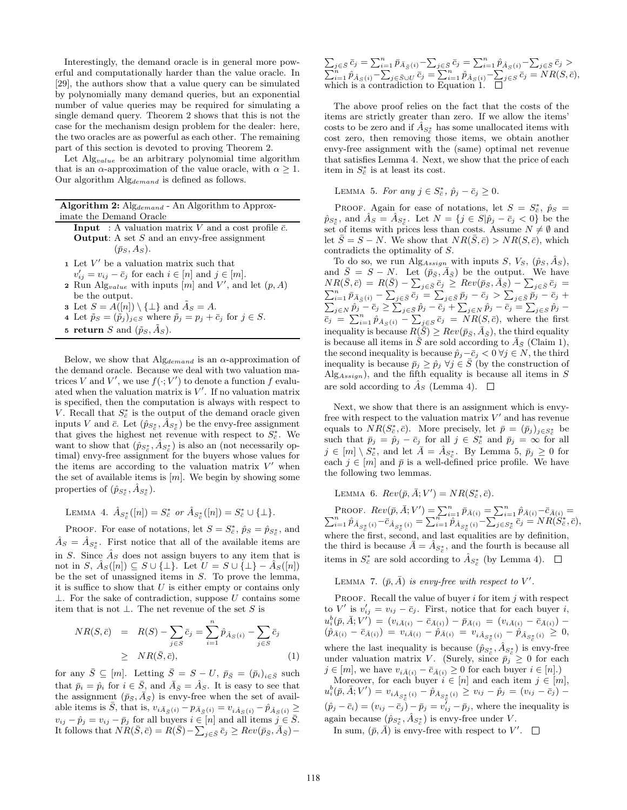Interestingly, the demand oracle is in general more powerful and computationally harder than the value oracle. In [29], the authors show that a value query can be simulated by polynomially many demand queries, but an exponential number of value queries may be required for simulating a single demand query. Theorem 2 shows that this is not the case for the mechanism design problem for the dealer: here, the two oracles are as powerful as each other. The remaining part of this section is devoted to proving Theorem 2.

Let  $\Lambda$ lg<sub>value</sub> be an arbitrary polynomial time algorithm that is an  $\alpha$ -approximation of the value oracle, with  $\alpha \geq 1$ . Our algorithm  $\text{Alg}_{demand}$  is defined as follows.

|                         |  |  |  |  | <b>Algorithm 2:</b> Alg <sub>demand</sub> - An Algorithm to Approx- |  |
|-------------------------|--|--|--|--|---------------------------------------------------------------------|--|
| imate the Demand Oracle |  |  |  |  |                                                                     |  |
|                         |  |  |  |  |                                                                     |  |

- **Input** : A valuation matrix V and a cost profile  $\bar{c}$ . **Output:** A set  $S$  and an envy-free assignment  $(\bar{p}_S, A_S)$ .
- $1$  Let  $V'$  be a valuation matrix such that
- $v'_{ij} = v_{ij} \bar{c}_j$  for each  $i \in [n]$  and  $j \in [m]$ .
- **2** Run Alg<sub>value</sub> with inputs  $[m]$  and  $V'$ , and let  $(p, A)$ be the output.
- **3** Let  $S = A([n]) \setminus {\perp}$  and  $\tilde{A}_S = A$ .
- 4 Let  $\tilde{p}_S = (\tilde{p}_j)_{j \in S}$  where  $\tilde{p}_j = p_j + \bar{c}_j$  for  $j \in S$ .
- 5 return S and  $(\tilde{p}_S, \tilde{A}_S)$ .

Below, we show that  $\text{Alg}_{demand}$  is an  $\alpha$ -approximation of the demand oracle. Because we deal with two valuation matrices V and V', we use  $f(\cdot; V')$  to denote a function f evaluated when the valuation matrix is  $V'$ . If no valuation matrix is specified, then the computation is always with respect to V. Recall that  $S_{\bar{c}}^*$  is the output of the demand oracle given inputs V and  $\bar{c}$ . Let  $(\hat{p}_{S_{\bar{c}}^*}, \hat{A}_{S_{\bar{c}}^*})$  be the envy-free assignment that gives the highest net revenue with respect to  $S_{\bar{c}}^*$ . We want to show that  $(\hat{p}_{S_{\bar{c}}^*}, \hat{A}_{S_{\bar{c}}^*})$  is also an (not necessarily optimal) envy-free assignment for the buyers whose values for the items are according to the valuation matrix  $V'$  when the set of available items is  $[m]$ . We begin by showing some properties of  $(\hat{p}_{S_{\bar{c}}^*}, \hat{A}_{S_{\bar{c}}^*}).$ 

LEMMA 4.  $\hat{A}_{S_{\bar{c}}^*}([n]) = S_{\bar{c}}^*$  or  $\hat{A}_{S_{\bar{c}}^*}([n]) = S_{\bar{c}}^* \cup \{\perp\}.$ 

PROOF. For ease of notations, let  $S = S_{\bar{c}}^*$ ,  $\hat{p}_S = \hat{p}_{S_{\bar{c}}^*}$ , and  $\hat{A}_S = \hat{A}_{S_c^*}$ . First notice that all of the available items are in S. Since  $\hat{A}_S$  does not assign buyers to any item that is not in S,  $\hat{A}_S([n]) \subseteq S \cup \{\perp\}$ . Let  $U = S \cup \{\perp\} - \hat{A}_S([n])$ be the set of unassigned items in  $S$ . To prove the lemma, it is suffice to show that  $U$  is either empty or contains only ⊥. For the sake of contradiction, suppose U contains some item that is not  $\bot$ . The net revenue of the set S is

$$
NR(S,\bar{c}) = R(S) - \sum_{j \in S} \bar{c}_j = \sum_{i=1}^n \hat{p}_{\hat{A}_S(i)} - \sum_{j \in S} \bar{c}_j
$$
  
\n
$$
\geq NR(\bar{S},\bar{c}), \qquad (1)
$$

for any  $\bar{S} \subseteq [m]$ . Letting  $\bar{S} = S - U$ ,  $\bar{p}_{\bar{S}} = (\bar{p}_i)_{i \in \bar{S}}$  such that  $\bar{p}_i = \hat{p}_i$  for  $i \in \bar{S}$ , and  $\bar{A}_{\bar{S}} = \hat{A}_S$ . It is easy to see that the assignment  $(\bar{p}_{\bar{S}}, \bar{A}_{\bar{S}})$  is envy-free when the set of available items is  $\bar{S}$ , that is,  $v_{i\bar{A}_{\bar{S}}(i)} - p_{\bar{A}_{\bar{S}}(i)} = v_{i\hat{A}_{\bar{S}}(i)} - \hat{p}_{\hat{A}_{\bar{S}}(i)} \geq$  $v_{ij} - \hat{p}_j = v_{ij} - \bar{p}_j$  for all buyers  $i \in [n]$  and all items  $j \in \bar{S}$ . It follows that  $\overline{NR}(\bar{S}, \bar{c}) = \overline{R}(\bar{S}) - \sum_{j \in \bar{S}} \overline{c}_j \geq Rev(\overline{p}_{\bar{S}}, \overline{A}_{\bar{S}}) -$ 

 $\sum_{j\in \bar{S}}\bar{c}_j = \sum_{i=1}^n \bar{p}_{\bar{A}_{\bar{S}}(i)} - \sum_{j\in \bar{S}}\bar{c}_j = \sum_{i=1}^n \hat{p}_{\hat{A}_{\bar{S}}(i)} - \sum_{j\in \bar{S}}\bar{c}_j >$  $\sum_{i=1}^n \hat{p}_{\hat{A}_S(i)} - \sum_{j \in \bar{S} \cup U} \bar{c}_j = \sum_{i=1}^n \hat{p}_{\hat{A}_S(i)} - \sum_{j \in S} \bar{c}_j = NR(S,\bar{c}),$ which is a contradiction to Equation 1.

The above proof relies on the fact that the costs of the items are strictly greater than zero. If we allow the items' costs to be zero and if  $\hat{A}_{S^*_{\overline{c}}}$  has some unallocated items with cost zero, then removing those items, we obtain another envy-free assignment with the (same) optimal net revenue that satisfies Lemma 4. Next, we show that the price of each item in  $S_{\bar{c}}^*$  is at least its cost.

LEMMA 5. For any  $j \in S_{\bar{c}}^*$ ,  $\hat{p}_j - \bar{c}_j \geq 0$ .

PROOF. Again for ease of notations, let  $S = S_{\overline{c}}^*$ ,  $\hat{p}_S =$  $\hat{p}_{S_{\overline{c}}}$ , and  $\hat{A}_S = \hat{A}_{S_{\overline{c}}}$ . Let  $N = \{j \in S | \hat{p}_j - \bar{c}_j < 0\}$  be the set of items with prices less than costs. Assume  $N \neq \emptyset$  and let  $\overline{S} = S - N$ . We show that  $NR(\overline{S}, \overline{c}) > NR(S, \overline{c})$ , which contradicts the optimality of S.

To do so, we run Alg<sub>Assign</sub> with inputs S,  $V_S$ ,  $(\hat{p}_S, \hat{A}_S)$ , and  $\bar{S} = \dot{S} - N$ . Let  $(\bar{p}_{\bar{S}}, \bar{A}_{\bar{S}})$  be the output. We have  $NR(\bar{S}, \bar{c}) \ = \ R(\bar{S}) - \sum_{j \in \bar{S}} \bar{c}_j \ \geq \ Rev(\bar{p}_{\bar{S}}, \bar{A}_{\bar{S}}) - \sum_{j \in \bar{S}} \bar{c}_j \ =$  $\sum_{i=1}^{n} \bar{p}_{\bar{A}_{\bar{S}}(i)} - \sum_{j \in \bar{S}} \bar{c}_{j} = \sum_{j \in \bar{S}} \bar{p}_{j} - \bar{c}_{j} > \sum_{j \in \bar{S}} \bar{p}_{j} - \bar{c}_{j} +$  $\sum_{j \in N} \hat{p}_j - \bar{c}_j \ge \sum_{j \in \bar{S}} \hat{p}_j - \bar{c}_j + \sum_{j \in N} \hat{p}_j - \bar{c}_j = \sum_{j \in S} \hat{p}_j \bar{c}_j = \sum_{i=1}^n \hat{p}_{\hat{A}_S(i)} - \sum_{j \in S} \bar{c}_j = \overrightarrow{NR}(S, \bar{c}),$  where the first inequality is because  $R(S) \geq Rev(\bar{p}_S, \bar{A}_S)$ , the third equality is because all items in  $\overline{S}$  are sold according to  $\overline{A}_{\overline{S}}$  (Claim 1), the second inequality is because  $\hat{p}_i-\bar{c}_i < 0 \ \forall j \in N$ , the third inequality is because  $\bar{p}_j \geq \hat{p}_j \ \forall j \in \bar{S}$  (by the construction of  $\text{Alg}_{Assian}$ , and the fifth equality is because all items in S are sold according to  $\hat{A}_S$  (Lemma 4).  $\square$ 

Next, we show that there is an assignment which is envyfree with respect to the valuation matrix  $V'$  and has revenue equals to  $\overline{NR}(S_{\overline{c}}^*, \overline{c})$ . More precisely, let  $\overline{p} = (\overline{p}_j)_{j \in S_{\overline{c}}^*}$  be such that  $\bar{p}_j = \hat{p}_j - \bar{c}_j$  for all  $j \in S^*_{\bar{c}}$  and  $\bar{p}_j = \infty$  for all  $j \in [m] \setminus S_{\bar{c}}^*$ , and let  $\bar{A} = \hat{A}_{S_{\bar{c}}^*}$ . By Lemma 5,  $\bar{p}_j \ge 0$  for each  $j \in [m]$  and  $\bar{p}$  is a well-defined price profile. We have the following two lemmas.

LEMMA 6.  $Rev(\bar{p}, \bar{A}; V') = NR(S_{\bar{c}}^*, \bar{c}).$ 

PROOF.  $Rev(\bar{p}, \bar{A}; V') = \sum_{i=1}^{n} \bar{p}_{\bar{A}(i)} = \sum_{i=1}^{n} \hat{p}_{\bar{A}(i)} - \bar{c}_{\bar{A}(i)} = \sum_{i=1}^{n} \hat{p}_{\bar{A}_{\bar{S}_{\bar{c}}^*}(i)} - \bar{c}_{\bar{A}_{\bar{S}_{\bar{c}}^*}(i)} = \sum_{i=1}^{n} \hat{p}_{\bar{A}_{\bar{S}_{\bar{c}}^*}(i)} - \sum_{j \in S_{\bar{c}}^*} \bar{c}_{j} = NR(S_{\bar{c}}^*, \bar{c}),$ where the first, second, and last equalities are by definition, the third is because  $\overline{A} = \hat{A}_{S_c^*}$ , and the fourth is because all items in  $S_{\bar{c}}^*$  are sold according to  $\hat{A}_{S_{\bar{c}}^*}$  (by Lemma 4).

LEMMA 7.  $(\bar{p}, \bar{A})$  is envy-free with respect to V'.

PROOF. Recall the value of buyer  $i$  for item  $j$  with respect to V' is  $v'_{ij} = v_{ij} - \bar{c}_j$ . First, notice that for each buyer i,  $u_i^b(\bar{p},\bar{A};V')\,=\, (v_{i\bar{A}(i)}-\bar{c}_{\bar{A}(i)})-\bar{p}_{\bar{A}(i)}\,=\, (v_{i\bar{A}(i)}-\bar{c}_{\bar{A}(i)})\, (\hat{p}_{\bar{A}(i)} - \bar{c}_{\bar{A}(i)}) = v_{i\bar{A}(i)} - \hat{p}_{\bar{A}(i)} = v_{i\hat{A}_{S_c^*}(i)} - \hat{p}_{\hat{A}_{S_c^*}(i)} \geq 0,$ where the last inequality is because  $(\hat{p}_{S^*_{\vec{c}}}, \hat{A}_{S^*_{\vec{c}}})$  is envy-free under valuation matrix V. (Surely, since  $\bar{p}_j \geq 0$  for each  $j \in [m]$ , we have  $v_{i\bar{A}(i)} - \bar{c}_{\bar{A}(i)} \geq 0$  for each buyer  $i \in [n]$ .)

Moreover, for each buyer  $i \in [n]$  and each item  $j \in [m]$ ,  $u_i^b(\bar{p}, \bar{A}; V') = v_{i\hat{A}_{S_c^*}(i)} - \hat{p}_{\hat{A}_{S_c^*}(i)} \ge v_{ij} - \hat{p}_j = (v_{ij} - \bar{c}_j) (\hat{p}_j - \bar{c}_i) = (v_{ij} - \bar{c}_j) - \bar{p}_j = v_{ij}^{\bar{i}} - \bar{p}_j$ , where the inequality is again because  $(\hat{p}_{S_{\vec{c}}}^*, \hat{A}_{S_{\vec{c}}^*})$  is envy-free under V.

In sum,  $(\bar{p}, \bar{A})$  is envy-free with respect to V'.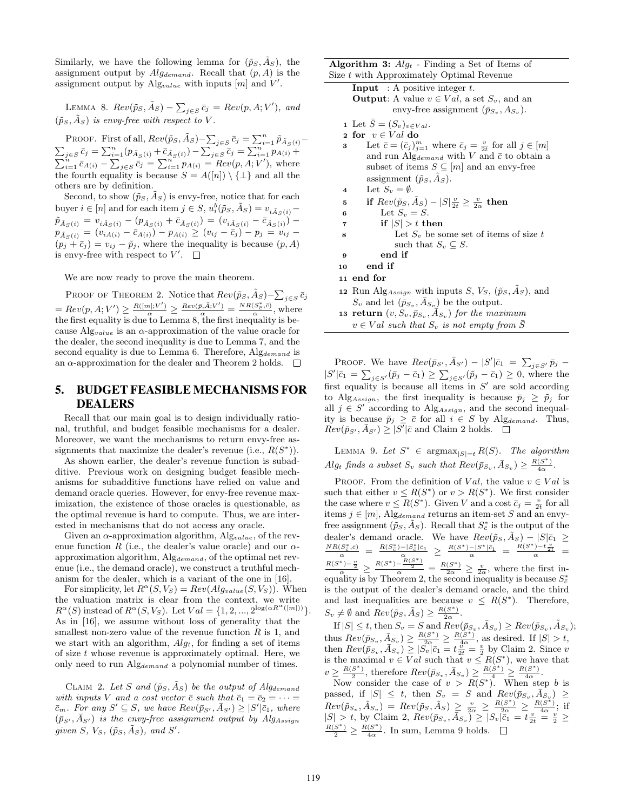Similarly, we have the following lemma for  $(\tilde{p}_S, \tilde{A}_S)$ , the assignment output by  $Alg_{demand}$ . Recall that  $(p, A)$  is the assignment output by  $\mathrm{Alg}_{value}$  with inputs  $[m]$  and  $V'$ .

LEMMA 8.  $Rev(\tilde{p}_S, \tilde{A}_S) - \sum_{j \in S} \bar{c}_j = Rev(p, A; V'),$  and  $(\tilde{p}_S, \tilde{A}_S)$  is envy-free with respect to V.

PROOF. First of all,  $Rev(\tilde{p}_S, \tilde{A}_S) - \sum_{j \in S} \bar{c}_j = \sum_{i=1}^n \tilde{p}_{\tilde{A}_S(i)} - \sum_{j \in S} \bar{c}_j = \sum_{i=1}^n p_{A(i)} + \sum_{j \in S} \bar{c}_j = \sum_{i=1}^n p_{A(i)} + \sum_{j \in S} \bar{c}_j$  $\sum_{i=1}^{n} \bar{c}_{A(i)} - \sum_{j \in S} \bar{c}_j = \sum_{i=1}^{n} p_{A(i)} = Rev(p, A; V')$ , where the fourth equality is because  $S = A([n]) \setminus {\perp}$  and all the others are by definition.

Second, to show  $(\tilde{p}_S, \tilde{A}_S)$  is envy-free, notice that for each buyer  $i \in [n]$  and for each item  $j \in S$ ,  $u_i^b(\tilde{p}_S, \tilde{A}_S) = v_{i\tilde{A}_S(i)}$  $\tilde{p}_{\tilde{A}_S(i)} = v_{i\tilde{A}_S(i)} - (p_{\tilde{A}_S(i)} + \bar{c}_{\tilde{A}_S(i)}) = (v_{i\tilde{A}_S(i)} - \bar{c}_{\tilde{A}_S(i)})$  $p_{\tilde{A}_S(i)} = (v_{iA(i)} - \bar{c}_{A(i)}) - p_{A(i)} \ge (v_{ij} - \bar{c}_j) - p_j = v_{ij} (p_j + \bar{c}_j) = v_{ij} - \tilde{p}_j$ , where the inequality is because  $(p, A)$ is envy-free with respect to  $V'$ .

We are now ready to prove the main theorem.

PROOF OF THEOREM 2. Notice that  $Rev(\tilde{p}_S, \tilde{A}_S) - \sum_{j \in S} \bar{c}_j$  $= Rev(p, A; V') \geq \frac{R([m]; V')}{\alpha} \geq \frac{Rev(\bar{p}, \bar{A}; V')}{\alpha} = \frac{NR(S_{\bar{c}}^*, \bar{c})}{\alpha},$  where the first equality is due to Lemma 8, the first inequality is because  $\text{Alg}_{value}$  is an  $\alpha$ -approximation of the value oracle for the dealer, the second inequality is due to Lemma 7, and the second equality is due to Lemma 6. Therefore,  $Alg_{demand}$  is an  $\alpha$ -approximation for the dealer and Theorem 2 holds.  $\square$ 

## 5. BUDGET FEASIBLE MECHANISMS FOR DEALERS

Recall that our main goal is to design individually rational, truthful, and budget feasible mechanisms for a dealer. Moreover, we want the mechanisms to return envy-free assignments that maximize the dealer's revenue (i.e.,  $R(S^*)$ ).

As shown earlier, the dealer's revenue function is subadditive. Previous work on designing budget feasible mechanisms for subadditive functions have relied on value and demand oracle queries. However, for envy-free revenue maximization, the existence of those oracles is questionable, as the optimal revenue is hard to compute. Thus, we are interested in mechanisms that do not access any oracle.

Given an  $\alpha$ -approximation algorithm, Alg<sub>value</sub>, of the revenue function R (i.e., the dealer's value oracle) and our  $\alpha$ approximation algorithm,  $\text{Alg}_{demand}$ , of the optimal net revenue (i.e., the demand oracle), we construct a truthful mechanism for the dealer, which is a variant of the one in [16].

For simplicity, let  $R^{\alpha}(S, V_S) = Rev(Alg_{value}(S, V_S))$ . When the valuation matrix is clear from the context, we write  $R^{\alpha}(S)$  instead of  $R^{\alpha}(S, V_S)$ . Let  $Val = \{1, 2, ..., 2^{\log(\alpha R^{\alpha}([m]))}\}.$ As in [16], we assume without loss of generality that the smallest non-zero value of the revenue function  $R$  is 1, and we start with an algorithm,  $Alg_t$ , for finding a set of items of size  $t$  whose revenue is approximately optimal. Here, we only need to run Alg<sub>demand</sub> a polynomial number of times.

CLAIM 2. Let S and  $(\tilde{p}_S, \tilde{A}_S)$  be the output of Alg<sub>demand</sub> with inputs V and a cost vector  $\bar{c}$  such that  $\bar{c}_1 = \bar{c}_2 = \cdots =$  $\overline{c}_m$ . For any  $S' \subseteq S$ , we have  $Rev(\overline{p}_{S'}, \overline{A}_{S'}) \geq |S'| \overline{c}_1$ , where  $(\bar{p}_{S'} , \bar{A}_{S'})$  is the envy-free assignment output by Alg<sub>Assign</sub> given S,  $V_S$ ,  $(\tilde{p}_S, \tilde{A}_S)$ , and S'.

**Algorithm 3:**  $Alg_t$  - Finding a Set of Items of Size t with Approximately Optimal Revenue Size t with Approximately Optimal Revenue

| $\mu$ ize $\iota$ with Approximately Optimal Revenue                                          |  |  |  |  |  |  |
|-----------------------------------------------------------------------------------------------|--|--|--|--|--|--|
| <b>Input</b> : A positive integer $t$ .                                                       |  |  |  |  |  |  |
| <b>Output:</b> A value $v \in Val$ , a set $S_v$ , and an                                     |  |  |  |  |  |  |
| envy-free assignment $(\bar{p}_{S_v}, A_{S_v}).$                                              |  |  |  |  |  |  |
| 1 Let $\bar{S} = (S_v)_{v \in Val}$ .                                                         |  |  |  |  |  |  |
| 2 for $v \in Val$ do                                                                          |  |  |  |  |  |  |
| Let $\bar{c} = (\bar{c}_j)_{j=1}^m$ where $\bar{c}_j = \frac{v}{2t}$ for all $j \in [m]$<br>3 |  |  |  |  |  |  |
| and run Alg <sub>demand</sub> with V and $\bar{c}$ to obtain a                                |  |  |  |  |  |  |
| subset of items $S \subseteq [m]$ and an envy-free                                            |  |  |  |  |  |  |
| assignment $(\tilde{p}_S, A_S)$ .                                                             |  |  |  |  |  |  |
| Let $S_v = \emptyset$ .<br>$\overline{\bf 4}$                                                 |  |  |  |  |  |  |
| if $Rev(\tilde{p}_S, \tilde{A}_S) -  S  \frac{v}{2t} \geq \frac{v}{2\alpha}$ then<br>5        |  |  |  |  |  |  |
| Let $S_n = S$ .<br>6                                                                          |  |  |  |  |  |  |
| if $ S  > t$ then<br>7                                                                        |  |  |  |  |  |  |
| Let $S_v$ be some set of items of size t<br>8                                                 |  |  |  |  |  |  |
| such that $S_v \subseteq S$ .                                                                 |  |  |  |  |  |  |
| end if<br>9                                                                                   |  |  |  |  |  |  |
| end if<br>10                                                                                  |  |  |  |  |  |  |
| 11 end for                                                                                    |  |  |  |  |  |  |
| 12 Run Alg <sub>Assign</sub> with inputs S, $V_S$ , $(\tilde{p}_S, \tilde{A}_S)$ , and        |  |  |  |  |  |  |
| $S_v$ and let $(\bar{p}_{S_v}, \bar{A}_{S_v})$ be the output.                                 |  |  |  |  |  |  |
| 13 return $(v, S_v, \bar{p}_{S_v}, A_{S_v})$ for the maximum                                  |  |  |  |  |  |  |
| $v \in Val$ such that $S_v$ is not empty from S                                               |  |  |  |  |  |  |

PROOF. We have  $Rev(\bar{p}_{S'}, \bar{A}_{S'}) - |S'|\bar{c}_1 = \sum_{j \in S'} \bar{p}_j |S'|\bar{c}_1 = \sum_{j \in S'} (\bar{p}_j - \bar{c}_1) \geq \sum_{j \in S'} (\tilde{p}_j - \bar{c}_1) \geq 0$ , where the first equality is because all items in  $S'$  are sold according to Alg<sub>Assign</sub>, the first inequality is because  $\bar{p}_j \geq \tilde{p}_j$  for all  $j \in S'$  according to Alg<sub>Assign</sub>, and the second inequality is because  $\tilde{p}_j \geq \bar{c}$  for all  $i \in S$  by Alg<sub>demand</sub>. Thus,  $Rec(\bar{p}_{S'}, \bar{A}_{S'}) \geq |\bar{S'}|\bar{c}$  and Claim 2 holds.

LEMMA 9. Let  $S^* \in \text{argmax}_{|S|=t} R(S)$ . The algorithm  $Alg_t$  finds a subset  $S_v$  such that  $Rev(\bar{p}_{S_v}, \bar{A}_{S_v}) \geq \frac{R(S^*)}{4\alpha}$ .

PROOF. From the definition of Val, the value  $v \in Val$  is such that either  $v \leq R(S^*)$  or  $v > R(S^*)$ . We first consider the case where  $v \leq R(S^*)$ . Given V and a cost  $\bar{c}_j = \frac{v}{2t}$  for all items  $j \in [m]$ , Alg<sub>demand</sub> returns an item-set S and an envyfree assignment  $(\tilde{p}_S, \tilde{A}_S)$ . Recall that  $S_{\bar{c}}^*$  is the output of the dealer's demand oracle. We have  $Rev(\tilde{p}_S, \tilde{A}_S) - |S|\bar{c}_1 \geq \frac{NR(S^*_{\tilde{c}}, \tilde{c})}{\alpha} = \frac{R(S^*) - |S^*_{\tilde{c}}|\bar{c}_1}{\alpha} \geq \frac{R(S^*) - |S^*| \bar{c}_1}{\alpha} = \frac{R(S^*) - t\frac{v}{2t}}{\alpha} =$  $\frac{R(S^*)-\frac{v}{2}}{\alpha} \geq \frac{R(S^*)-\frac{R(S^*)}{2}}{\alpha} = \frac{R(S^*)}{2\alpha} \geq \frac{v}{2\alpha}$ , where the first inequality is by Theorem 2, the second inequality is because  $S_{\bar{c}}^*$ is the output of the dealer's demand oracle, and the third and last inequalities are because  $v \leq R(S^*)$ . Therefore,  $S_v \neq \emptyset$  and  $\overline{Rev}(\tilde{p}_S, \tilde{A}_S) \geq \frac{R(S^*)}{2\alpha}$ .

 $\text{If } |S| \leq t, \text{ then } S_v = S \text{ and } Rev(\bar{p}_{S_v}, \bar{A}_{S_v}) \geq Rev(\tilde{p}_{S_v}, \tilde{A}_{S_v});$ thus  $Rev(\bar{p}_{S_v}, \bar{A}_{S_v}) \geq \frac{R(S^*)}{2\alpha} \geq \frac{R(S^*)}{4\alpha}$ , as desired. If  $|S| > t$ , then  $Rev(\bar{p}_{S_v}, \bar{A}_{S_v}) \geq |S_v|\bar{c}_1 = t\frac{v}{2t} = \frac{v}{2}$  by Claim 2. Since v is the maximal  $v \in Val$  such that  $v \leq R(S^*)$ , we have that  $v \geq \frac{R(S^*)}{2}$ , therefore  $Rev(\bar{p}_{S_v}, \bar{A}_{S_v}) \geq \frac{R(S^*)}{4} \geq \frac{R(S^*)}{4\alpha}$ .

Now consider the case of  $v > R(S^*)$ . When step b is passed, if  $|S| \leq t$ , then  $S_v = S$  and  $Rev(\bar{p}_{S_v}, \bar{A}_{S_v}) \geq$  $Rev(\tilde{p}_{S_v}, \tilde{A}_{S_v}) = Rev(\tilde{p}_S, \tilde{A}_S) \geq \frac{v}{2\alpha} \geq \frac{R(S^*)}{2\alpha} \geq \frac{R(S^*)}{4\alpha};$  if  $|S| > t$ , by Claim 2,  $\overline{Rev}(\overline{p}_{S_v}, \overline{A}_{S_v})^{\alpha} \geq |S_v|\overline{c}_1 = t \frac{v}{2t} = \frac{u}{2} \geq \frac{R(S^*)}{2} \geq \frac{R(S^*)}{4\alpha}$ . In sum, Lemma 9 holds.  $\square$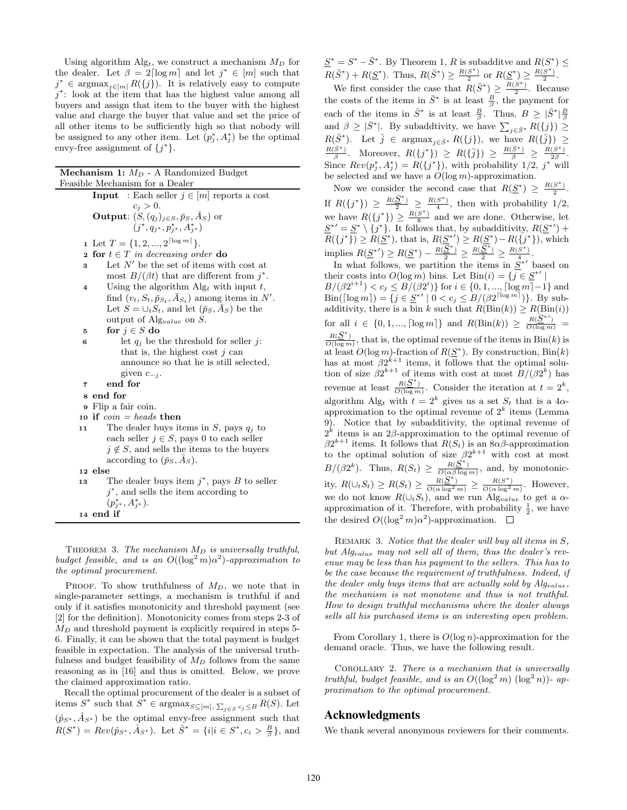Using algorithm Alg<sub>t</sub>, we construct a mechanism  $M_D$  for the dealer. Let  $\beta = 2 \lceil \log m \rceil$  and let  $j^* \in [m]$  such that  $j^* \in \text{argmax}_{j \in [m]} R(\{j\})$ . It is relatively easy to compute  $j^*$ : look at the item that has the highest value among all buyers and assign that item to the buyer with the highest value and charge the buyer that value and set the price of all other items to be sufficiently high so that nobody will be assigned to any other item. Let  $(p_j^*, A_j^*)$  be the optimal envy-free assignment of  $\{j^*\}.$ 

| <b>Mechanism 1:</b> $M_D$ - A Randomized Budget                            |  |  |  |  |  |  |  |  |  |  |
|----------------------------------------------------------------------------|--|--|--|--|--|--|--|--|--|--|
| Feasible Mechanism for a Dealer                                            |  |  |  |  |  |  |  |  |  |  |
|                                                                            |  |  |  |  |  |  |  |  |  |  |
| <b>Input</b> : Each seller $j \in [m]$ reports a cost                      |  |  |  |  |  |  |  |  |  |  |
| $c_i>0.$<br><b>Output:</b> $(S, (q_i)_{i \in S}, \bar{p}_S, \bar{A}_S)$ or |  |  |  |  |  |  |  |  |  |  |
| $(j^*, q_{i^*}, p_{i^*}^*, A_{i^*}^*)$                                     |  |  |  |  |  |  |  |  |  |  |
|                                                                            |  |  |  |  |  |  |  |  |  |  |
| 1 Let $T = \{1, 2, , 2^{\lceil \log m \rceil}\}.$                          |  |  |  |  |  |  |  |  |  |  |
| for $t \in T$ in decreasing order do<br>$\mathbf{2}$                       |  |  |  |  |  |  |  |  |  |  |
| Let $N'$ be the set of items with cost at<br>3                             |  |  |  |  |  |  |  |  |  |  |
| most $B/(\beta t)$ that are different from $i^*$ .                         |  |  |  |  |  |  |  |  |  |  |
| Using the algorithm $\text{Alg}_t$ with input t,<br>4                      |  |  |  |  |  |  |  |  |  |  |
| find $(v_t, S_t, \bar{p}_{S_t}, \bar{A}_{S_t})$ among items in N'.         |  |  |  |  |  |  |  |  |  |  |
| Let $S = \bigcup_t S_t$ , and let $(\bar{p}_S, A_S)$ be the                |  |  |  |  |  |  |  |  |  |  |
| output of Alg <sub>value</sub> on S.                                       |  |  |  |  |  |  |  |  |  |  |
| for $j \in S$ do<br>5                                                      |  |  |  |  |  |  |  |  |  |  |
| let $q_i$ be the threshold for seller j:<br>6                              |  |  |  |  |  |  |  |  |  |  |
| that is, the highest cost $i$ can                                          |  |  |  |  |  |  |  |  |  |  |
| announce so that he is still selected,                                     |  |  |  |  |  |  |  |  |  |  |
| given $c_{-i}$ .                                                           |  |  |  |  |  |  |  |  |  |  |
| end for<br>7                                                               |  |  |  |  |  |  |  |  |  |  |
| s end for                                                                  |  |  |  |  |  |  |  |  |  |  |
| <b>9</b> Flip a fair coin.                                                 |  |  |  |  |  |  |  |  |  |  |
| 10 if $coin = heads$ then                                                  |  |  |  |  |  |  |  |  |  |  |
| The dealer buys items in S, pays $q_i$ to<br>11                            |  |  |  |  |  |  |  |  |  |  |
| each seller $j \in S$ , pays 0 to each seller                              |  |  |  |  |  |  |  |  |  |  |
| $j \notin S$ , and sells the items to the buyers                           |  |  |  |  |  |  |  |  |  |  |
| according to $(\bar{p}_S, \bar{A}_S)$ .                                    |  |  |  |  |  |  |  |  |  |  |
| 12 else                                                                    |  |  |  |  |  |  |  |  |  |  |
| The dealer buys item $j^*$ , pays B to seller<br>13                        |  |  |  |  |  |  |  |  |  |  |
| $j^*$ , and sells the item according to                                    |  |  |  |  |  |  |  |  |  |  |
| $(p_{i^*}^*, A_{i^*}^*)$ .                                                 |  |  |  |  |  |  |  |  |  |  |
| 14 end if                                                                  |  |  |  |  |  |  |  |  |  |  |
|                                                                            |  |  |  |  |  |  |  |  |  |  |

THEOREM 3. The mechanism  $M_D$  is universally truthful, budget feasible, and is an  $O((\log^2 m)\alpha^2)$ -approximation to the optimal procurement.

PROOF. To show truthfulness of  $M_D$ , we note that in single-parameter settings, a mechanism is truthful if and only if it satisfies monotonicity and threshold payment (see [2] for the definition). Monotonicity comes from steps 2-3 of  $M_D$  and threshold payment is explicitly required in steps 5-6. Finally, it can be shown that the total payment is budget feasible in expectation. The analysis of the universal truthfulness and budget feasibility of  $M_D$  follows from the same reasoning as in [16] and thus is omitted. Below, we prove the claimed approximation ratio.

Recall the optimal procurement of the dealer is a subset of items  $S^*$  such that  $S^* \in \text{argmax}_{S \subseteq [m], \sum_{j \in S} c_j \leq B} R(S)$ . Let  $(\hat{p}_{S^*}, \hat{A}_{S^*})$  be the optimal envy-free assignment such that  $R(S^*) = Rev(\hat{p}_{S^*}, \hat{A}_{S^*})$ . Let  $\bar{S}^* = \{i | i \in S^*, c_i > \frac{B}{\beta}\}\$ , and

 $\underline{S}^* = S^* - \overline{S}^*$ . By Theorem 1, R is subadditve and  $R(S^*) \leq$  $R(\bar{S}^*) + R(\underline{S}^*)$ . Thus,  $R(\bar{S}^*) \ge \frac{R(S^*)}{2}$  or  $R(\underline{S}^*) \ge \frac{R(S^*)}{2}$ .

We first consider the case that  $R(\bar{S}^*) \geq \frac{R(S^*)}{2}$ . Because the costs of the items in  $\bar{S}^*$  is at least  $\frac{B}{\beta}$ , the payment for each of the items in  $\bar{S}^*$  is at least  $\frac{B}{\beta}$ . Thus,  $B \geq |\bar{S}^*| \frac{B}{\beta}$ and  $\beta \geq |\bar{S}^*|$ . By subaddtivity, we have  $\sum_{j \in \bar{S}^*} R(\{j\}) \geq$  $R(\bar{S}^*)$ . Let  $\bar{j} \in \text{argmax}_{j \in \bar{S}^*} R(\{j\})$ , we have  $R(\{\bar{j}\}) \geq$  $\frac{R(\bar{S}^*)}{\beta}$ . Moreover,  $R(\lbrace j^* \rbrace) \geq R(\lbrace \bar{j} \rbrace) \geq \frac{R(\bar{S}^*)}{\beta} \geq \frac{R(S^*)}{2\beta}$ . Since  $Rev(p_j^*, A_j^*) = R({j^*})$ , with probability 1/2, j<sup>\*</sup> will be selected and we have a  $O(\log m)$ -approximation.

Now we consider the second case that  $R(S^*) \geq \frac{R(S^*)}{2}$ . 2 If  $R({j^*}) \geq \frac{R(S^*)}{2} \geq \frac{R(S^*)}{4}$ , then with probability 1/2, we have  $R({j^*}) \geq \frac{R(S^*)}{8}$  and we are done. Otherwise, let  $\underline{S}^{*'} = \underline{S}^{*} \setminus \{j^{*}\}.$  It follows that, by subadditivity,  $R(\underline{S}^{*'})$  +  $R({j^*}) \ge R(S^*)$ , that is,  $R(S^{*'}) \ge R(S^*) - R({j^*})$ , which implies  $R(\underline{S}^{*}) \geq R(\underline{S}^{*}) - \frac{R(\underline{S}^{*})}{2} \geq \frac{R(\underline{S}^{*})}{2} \geq \frac{R(S^{*})}{4}$ .

In what follows, we partition the items in  $S^{*'}$  based on their costs into  $O(\log m)$  bins. Let  $\text{Bin}(i) = \{j \in \underline{S}^{*'} \mid$  $B/(\beta 2^{i+1}) < c_j \leq B/(\beta 2^i)$  for  $i \in \{0, 1, ..., \lceil \log m \rceil - 1\}$  and  $\text{Bin}(\lceil \log m \rceil) = \{ j \in \underline{S}^{*'} \mid 0 < c_j \leq B / (\beta 2^{\lceil \log m \rceil}) \}.$  By subadditivity, there is a bin k such that  $R(\text{Bin}(k)) \geq R(\text{Bin}(i))$ for all  $i \in \{0, 1, ..., \lceil \log m \rceil\}$  and  $R(\text{Bin}(k)) \geq \frac{R(\underline{S}^{*})}{O(\log m)} =$  $\frac{R(\mathcal{S}^*)}{O(\log m)}$ , that is, the optimal revenue of the items in  $\text{Bin}(k)$  is at least  $O(\log m)$ -fraction of  $R(S^*)$ . By construction,  $\text{Bin}(k)$ has at most  $\beta 2^{k+1}$  items, it follows that the optimal solution of size  $\beta 2^{k+1}$  of items with cost at most  $B/(\beta 2^k)$  has revenue at least  $\frac{R(\underline{S}^*)}{O(\log m)}$ . Consider the iteration at  $t = 2^k$ , algorithm Alg<sub>t</sub> with  $t = 2^k$  gives us a set  $S_t$  that is a  $4\alpha$ approximation to the optimal revenue of  $2<sup>k</sup>$  items (Lemma 9). Notice that by subadditivity, the optimal revenue of  $2^k$  items is an 2 $\beta$ -approximation to the optimal revenue of  $\beta 2^{k+1}$  items. It follows that  $R(S_t)$  is an  $8\alpha\beta$ -approximation to the optimal solution of size  $\beta 2^{k+1}$  with cost at most  $B/(\beta 2^k)$ . Thus,  $R(S_t) \geq \frac{R(\underline{S}^*)}{O(\alpha \beta \log m)}$ , and, by monotonicity,  $R(\bigcup_t S_t) \geq R(S_t) \geq \frac{R(\overline{S}^*)}{O(\alpha \log^2 m)} \geq \frac{R(S^*)}{O(\alpha \log^2 m)}$ . However, we do not know  $R(\bigcup_{t} S_t)$ , and we run Alg<sub>value</sub> to get a  $\alpha$ approximation of it. Therefore, with probability  $\frac{1}{2}$ , we have the desired  $O((\log^2 m)\alpha^2)$ -approximation.

REMARK 3. Notice that the dealer will buy all items in  $S$ , but Algvalue may not sell all of them, thus the dealer's revenue may be less than his payment to the sellers. This has to be the case because the requirement of truthfulness. Indeed, if the dealer only buys items that are actually sold by  $Alg_{value}$ , the mechanism is not monotone and thus is not truthful. How to design truthful mechanisms where the dealer always sells all his purchased items is an interesting open problem.

From Corollary 1, there is  $O(\log n)$ -approximation for the demand oracle. Thus, we have the following result.

COROLLARY 2. There is a mechanism that is universally truthful, budget feasible, and is an  $O((\log^2 m) (\log^2 n))$ - approximation to the optimal procurement.

#### Acknowledgments

We thank several anonymous reviewers for their comments.